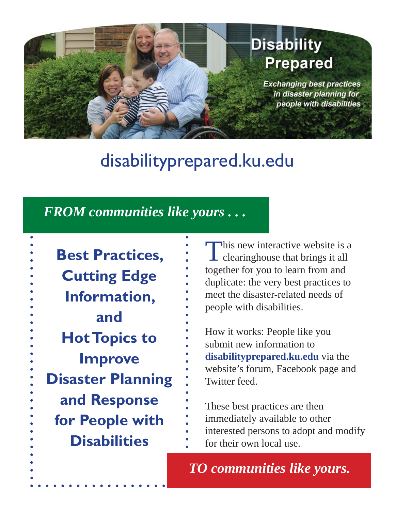# **Disability Prepared**

**Exchanging best practices** in disaster planning for people with disabilities

# disabilityprepared.ku.edu

## *FROM communities like yours . . .*

**Best Practices, Cutting Edge Information, and Hot Topics to Improve Disaster Planning and Response for People with Disabilities**

This new interactive website is a clearinghouse that brings it all together for you to learn from and duplicate: the very best practices to meet the disaster-related needs of people with disabilities.

How it works: People like you submit new information to **disabilityprepared.ku.edu** via the website's forum, Facebook page and Twitter feed.

These best practices are then immediately available to other interested persons to adopt and modify for their own local use.

*TO communities like yours.*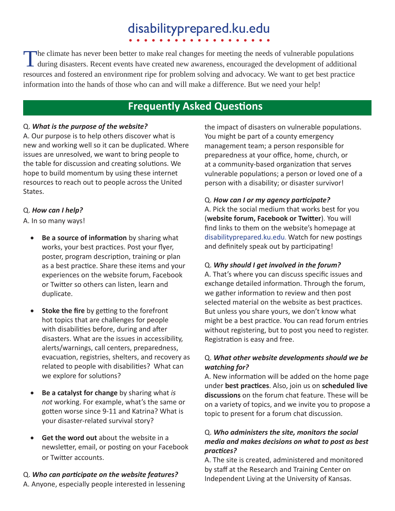# disabilityprepared.ku.edu

The climate has never been better to make real changes for meeting the needs of vulnerable populations during disasters. Recent events have created new awareness, encouraged the development of additional resources and fostered an environment ripe for problem solving and advocacy. We want to get best practice information into the hands of those who can and will make a difference. But we need your help!

### **Frequently Asked Questions**

### Q. *What is the purpose of the website?*

A. Our purpose is to help others discover what is new and working well so it can be duplicated. Where issues are unresolved, we want to bring people to the table for discussion and creating solutions. We hope to build momentum by using these internet resources to reach out to people across the United States.

### Q. *How can I help?*

A. In so many ways!

- **Be a source of information** by sharing what works, your best practices. Post your flyer, poster, program description, training or plan as a best practice. Share these items and your experiences on the website forum, Facebook or Twitter so others can listen, learn and duplicate.
- Stoke the fire by getting to the forefront hot topics that are challenges for people with disabilities before, during and after disasters. What are the issues in accessibility, alerts/warnings, call centers, preparedness, evacuation, registries, shelters, and recovery as related to people with disabilities? What can we explore for solutions?
- **Be a catalyst for change** by sharing what *is not* working. For example, what's the same or gotten worse since 9-11 and Katrina? What is your disaster-related survival story?
- **Get the word out** about the website in a newsletter, email, or posting on your Facebook or Twitter accounts.

Q. *Who can parƟ cipate on the website features?* A. Anyone, especially people interested in lessening the impact of disasters on vulnerable populations. You might be part of a county emergency management team; a person responsible for preparedness at your office, home, church, or at a community-based organization that serves vulnerable populations; a person or loved one of a person with a disability; or disaster survivor!

### Q. How can I or my agency participate?

A. Pick the social medium that works best for you **(website forum, Facebook or Twitter). You will** find links to them on the website's homepage at disabilityprepared.ku.edu. Watch for new postings and definitely speak out by participating!

### Q. *Why should I get involved in the forum?*

A. That's where you can discuss specific issues and exchange detailed information. Through the forum, we gather information to review and then post selected material on the website as best practices. But unless you share yours, we don't know what might be a best practice. You can read forum entries without registering, but to post you need to register. Registration is easy and free.

### Q. *What other website developments should we be watching for?*

A. New information will be added on the home page under **best pracƟ ces**. Also, join us on **scheduled live discussions** on the forum chat feature. These will be on a variety of topics, and we invite you to propose a topic to present for a forum chat discussion.

### Q. *Who administers the site, monitors the social media and makes decisions on what to post as best pracƟ ces?*

A. The site is created, administered and monitored by staff at the Research and Training Center on Independent Living at the University of Kansas.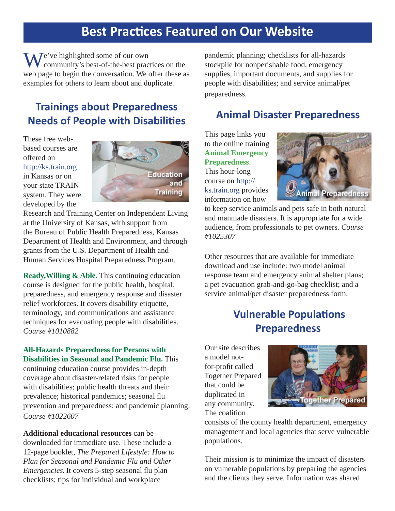# **Best Practices Featured on Our Website**

**N**  $\overline{I}$  **P**  $\overline{I}$  e've highlighted some of our own community's best-of-the-best practices on the web page to begin the conversation. We offer these as examples for others to learn about and duplicate.

## **Trainings about Preparedness Needs of People with Disabilities**

These free webbased courses are offered on http://ks.train.org in Kansas or on your state TRAIN system. They were developed by the



Research and Training Center on Independent Living at the University of Kansas, with support from the Bureau of Public Health Preparedness, Kansas Department of Health and Environment, and through grants from the U.S. Department of Health and Human Services Hospital Preparedness Program.

**Ready,Willing & Able.** This continuing education course is designed for the public health, hospital, preparedness, and emergency response and disaster relief workforces. It covers disability etiquette, terminology, and communications and assistance techniques for evacuating people with disabilities. *Course #1010882*

#### **All-Hazards Preparedness for Persons with Disabilities in Seasonal and Pandemic Flu.** This

continuing education course provides in-depth coverage about disaster-related risks for people with disabilities; public health threats and their prevalence; historical pandemics; seasonal flu prevention and preparedness; and pandemic planning. *Course #1022607*

**Additional educational resources** can be downloaded for immediate use. These include a 12-page booklet, *The Prepared Lifestyle: How to Plan for Seasonal and Pandemic Flu and Other Emergencies.* It covers 5-step seasonal flu plan checklists; tips for individual and workplace

pandemic planning; checklists for all-hazards stockpile for nonperishable food, emergency supplies, important documents, and supplies for people with disabilities; and service animal/pet preparedness.

### **Animal Disaster Preparedness**

This page links you to the online training **Animal Emergency Preparedness**. This hour-long course on http:// ks.train.org provides information on how



to keep service animals and pets safe in both natural and manmade disasters. It is appropriate for a wide audience, from professionals to pet owners. *Course #1025307*

Other resources that are available for immediate download and use include: two model animal response team and emergency animal shelter plans; a pet evacuation grab-and-go-bag checklist; and a service animal/pet disaster preparedness form.

### **Vulnerable Populations Preparedness**

Our site describes a model notfor-profit called Together Prepared that could be duplicated in any community. The coalition



consists of the county health department, emergency management and local agencies that serve vulnerable populations.

Their mission is to minimize the impact of disasters on vulnerable populations by preparing the agencies and the clients they serve. Information was shared